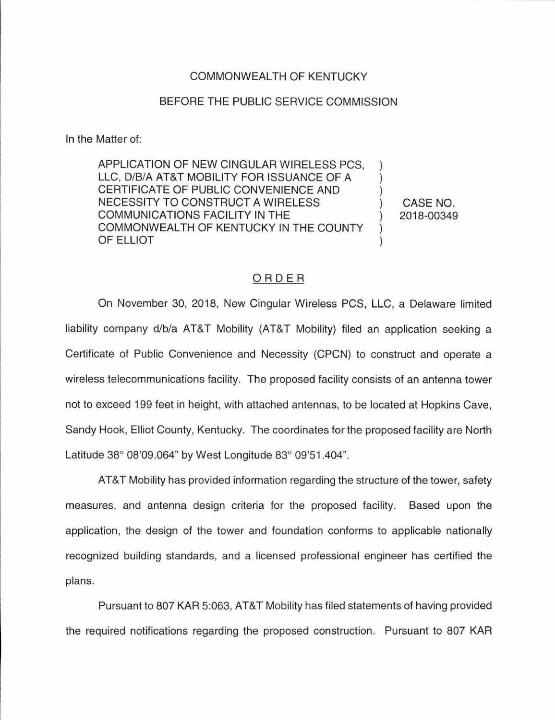## COMMONWEALTH OF KENTUCKY

## BEFORE THE PUBLIC SERVICE COMMISSION

In the Matter of:

APPLICATION OF NEW CINGULAR WIRELESS PCS, LLC, D/B/A AT&T MOBILITY FOR ISSUANCE OF A CERTIFICATE OF PUBLIC CONVENIENCE AND NECESSITY TO CONSTRUCT A WIRELESS COMMUNICATIONS FACILITY IN THE COMMONWEALTH OF KENTUCKY IN THE COUNTY OF ELLIOT

CASE NO. 2018-00349

## ORDER

On November 30, 2018, New Cingular Wireless PCS, LLC, a Delaware limited liability company d/b/a AT&T Mobility (AT&T Mobility) filed an application seeking a Certificate of Public Convenience and Necessity (CPCN) to construct and operate a wireless telecommunications facility. The proposed facility consists of an antenna tower not to exceed 199 feet in height, with attached antennas, to be located at Hopkins Cave, Sandy Hook, Elliot County, Kentucky. The coordinates for the proposed facility are North Latitude 38° 08'09.064" by West Longitude 83° 09'51.404".

AT&T Mobility has provided information regarding the structure of the tower, safety measures, and antenna design criteria for the proposed facility. Based upon the application, the design of the tower and foundation conforms to applicable nationally recognized building standards, and a licensed professional engineer has certified the plans.

Pursuant to 807 KAR 5:063, AT&T Mobility has filed statements of having provided the required notifications regarding the proposed construction. Pursuant to 807 KAR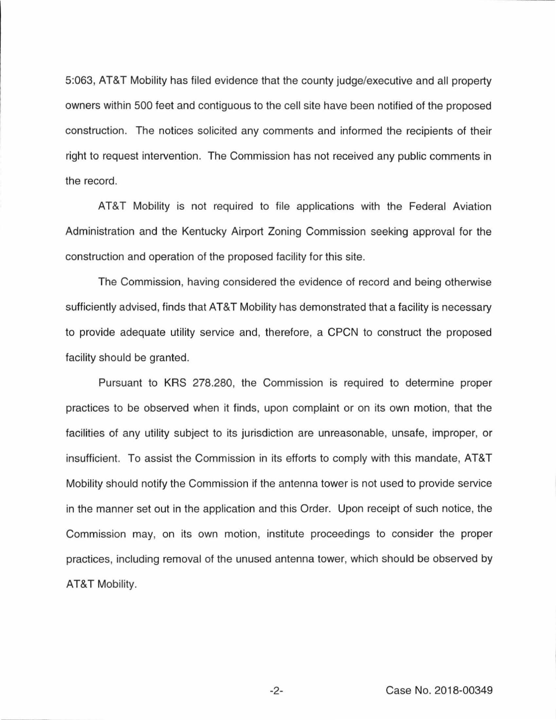5:063, AT&T Mobility has filed evidence that the county judge/executive and all property owners within 500 feet and contiguous to the cell site have been notified of the proposed construction. The notices solicited any comments and informed the recipients of their right to request intervention. The Commission has not received any public comments in the record.

AT&T Mobility is not required to file applications with the Federal Aviation Administration and the Kentucky Airport Zoning Commission seeking approval for the construction and operation of the proposed facility for this site.

The Commission, having considered the evidence of record and being otherwise sufficiently advised, finds that AT&T Mobility has demonstrated that a facility is necessary to provide adequate utility service and, therefore, a CPCN to construct the proposed facility should be granted.

Pursuant to KRS 278.280, the Commission is required to determine proper practices to be observed when it finds, upon complaint or on its own motion, that the facilities of any utility subject to its jurisdiction are unreasonable, unsafe, improper, or insufficient. To assist the Commission in its efforts to comply with this mandate, AT&T Mobility should notify the Commission if the antenna tower is not used to provide service in the manner set out in the application and this Order. Upon receipt of such notice, the Commission may, on its own motion, institute proceedings to consider the proper practices, including removal of the unused antenna tower, which should be observed by AT&T Mobility.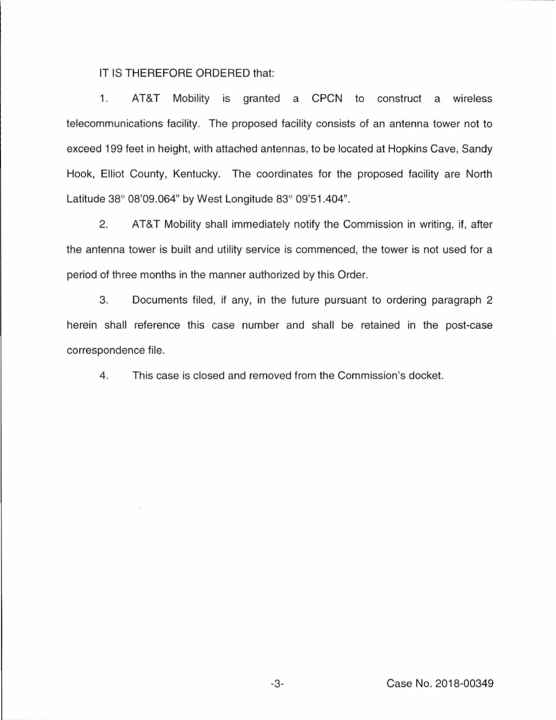## IT IS THEREFORE ORDERED that:

1. AT&T Mobility is granted a CPCN to construct a wireless telecommunications facility. The proposed facility consists of an antenna tower not to exceed 199 feet in height, with attached antennas, to be located at Hopkins Cave, Sandy Hook, Elliot County, Kentucky. The coordinates for the proposed facility are North Latitude 38° 08'09.064" by West Longitude 83° 09'51.404".

2. AT&T Mobility shall immediately notify the Commission in writing, if, after the antenna tower is built and utility service is commenced, the tower is not used for a period of three months in the manner authorized by this Order.

3. Documents filed, if any, in the future pursuant to ordering paragraph 2 herein shall reference this case number and shall be retained in the post-case correspondence file.

4. This case is closed and removed from the Commission's docket.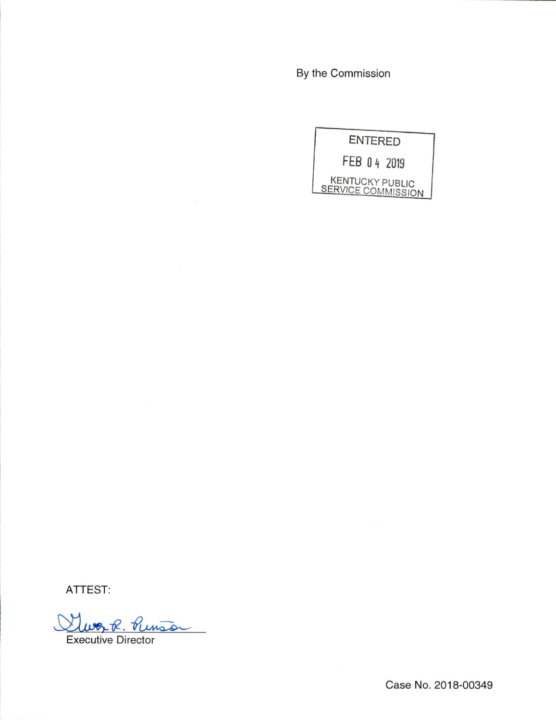By the Commission

|  |  | <b>ENTERED</b><br>FEB 04 2019<br><b>KENTUCKY PUBLIC</b><br>SERVICE COMMISSION |
|--|--|-------------------------------------------------------------------------------|

ATTEST:

Gluer R. Punso

Executive Director